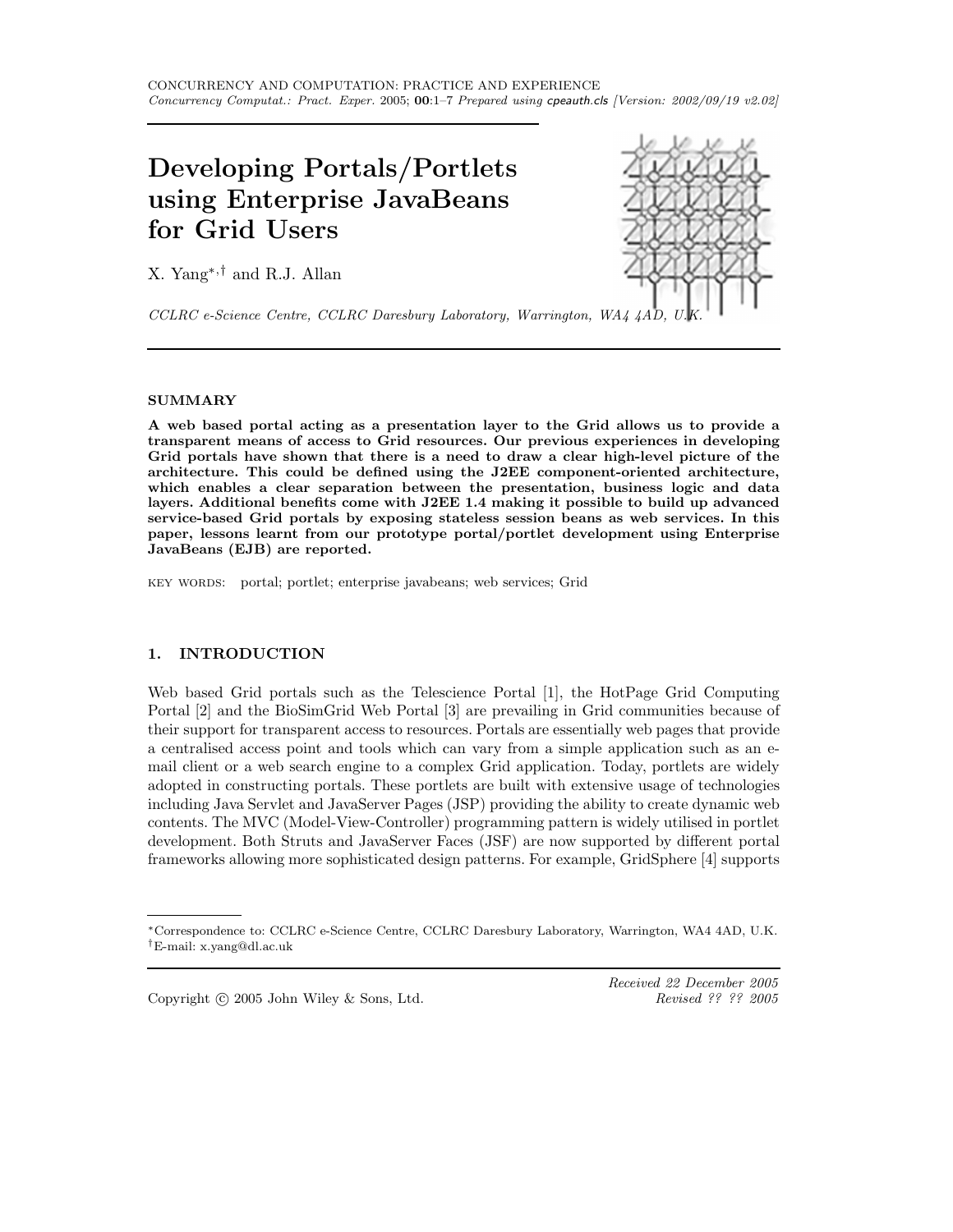# Developing Portals/Portlets using Enterprise JavaBeans for Grid Users

X. Yang∗,† and R.J. Allan



CCLRC e-Science Centre, CCLRC Daresbury Laboratory, Warrington, WA4 4AD,

# SUMMARY

A web based portal acting as a presentation layer to the Grid allows us to provide a transparent means of access to Grid resources. Our previous experiences in developing Grid portals have shown that there is a need to draw a clear high-level picture of the architecture. This could be defined using the J2EE component-oriented architecture, which enables a clear separation between the presentation, business logic and data layers. Additional benefits come with J2EE 1.4 making it possible to build up advanced service-based Grid portals by exposing stateless session beans as web services. In this paper, lessons learnt from our prototype portal/portlet development using Enterprise JavaBeans (EJB) are reported.

key words: portal; portlet; enterprise javabeans; web services; Grid

# 1. INTRODUCTION

Web based Grid portals such as the Telescience Portal [1], the HotPage Grid Computing Portal [2] and the BioSimGrid Web Portal [3] are prevailing in Grid communities because of their support for transparent access to resources. Portals are essentially web pages that provide a centralised access point and tools which can vary from a simple application such as an email client or a web search engine to a complex Grid application. Today, portlets are widely adopted in constructing portals. These portlets are built with extensive usage of technologies including Java Servlet and JavaServer Pages (JSP) providing the ability to create dynamic web contents. The MVC (Model-View-Controller) programming pattern is widely utilised in portlet development. Both Struts and JavaServer Faces (JSF) are now supported by different portal frameworks allowing more sophisticated design patterns. For example, GridSphere [4] supports

Copyright  $\odot$  2005 John Wiley & Sons, Ltd.

Received 22 December 2005<br>Revised ?? ?? 2005

<sup>∗</sup>Correspondence to: CCLRC e-Science Centre, CCLRC Daresbury Laboratory, Warrington, WA4 4AD, U.K. †E-mail: x.yang@dl.ac.uk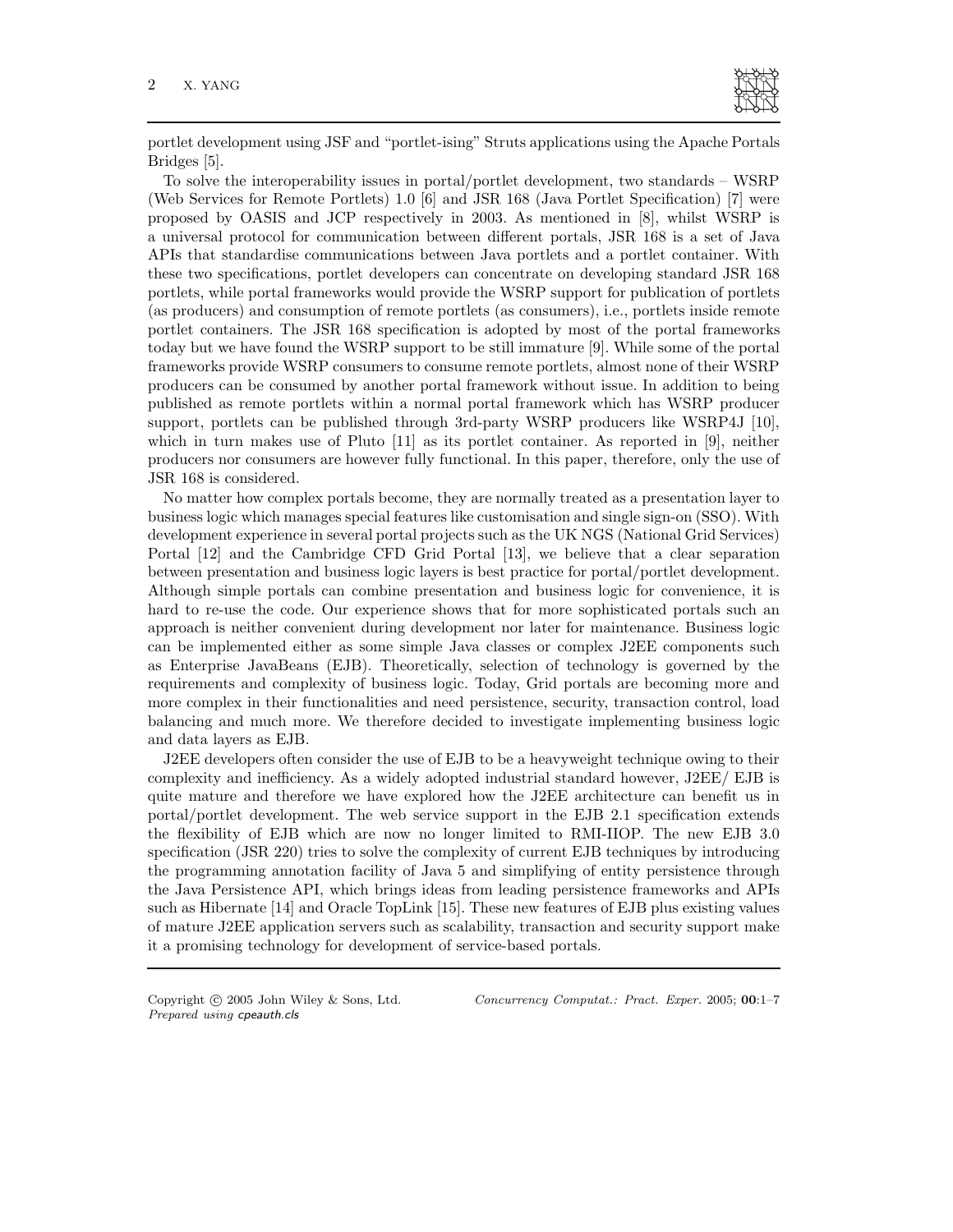

portlet development using JSF and "portlet-ising" Struts applications using the Apache Portals Bridges [5].

To solve the interoperability issues in portal/portlet development, two standards – WSRP (Web Services for Remote Portlets) 1.0 [6] and JSR 168 (Java Portlet Specification) [7] were proposed by OASIS and JCP respectively in 2003. As mentioned in [8], whilst WSRP is a universal protocol for communication between different portals, JSR 168 is a set of Java APIs that standardise communications between Java portlets and a portlet container. With these two specifications, portlet developers can concentrate on developing standard JSR 168 portlets, while portal frameworks would provide the WSRP support for publication of portlets (as producers) and consumption of remote portlets (as consumers), i.e., portlets inside remote portlet containers. The JSR 168 specification is adopted by most of the portal frameworks today but we have found the WSRP support to be still immature [9]. While some of the portal frameworks provide WSRP consumers to consume remote portlets, almost none of their WSRP producers can be consumed by another portal framework without issue. In addition to being published as remote portlets within a normal portal framework which has WSRP producer support, portlets can be published through 3rd-party WSRP producers like WSRP4J [10], which in turn makes use of Pluto [11] as its portlet container. As reported in [9], neither producers nor consumers are however fully functional. In this paper, therefore, only the use of JSR 168 is considered.

No matter how complex portals become, they are normally treated as a presentation layer to business logic which manages special features like customisation and single sign-on (SSO). With development experience in several portal projects such as the UK NGS (National Grid Services) Portal [12] and the Cambridge CFD Grid Portal [13], we believe that a clear separation between presentation and business logic layers is best practice for portal/portlet development. Although simple portals can combine presentation and business logic for convenience, it is hard to re-use the code. Our experience shows that for more sophisticated portals such an approach is neither convenient during development nor later for maintenance. Business logic can be implemented either as some simple Java classes or complex J2EE components such as Enterprise JavaBeans (EJB). Theoretically, selection of technology is governed by the requirements and complexity of business logic. Today, Grid portals are becoming more and more complex in their functionalities and need persistence, security, transaction control, load balancing and much more. We therefore decided to investigate implementing business logic and data layers as EJB.

J2EE developers often consider the use of EJB to be a heavyweight technique owing to their complexity and inefficiency. As a widely adopted industrial standard however, J2EE/ EJB is quite mature and therefore we have explored how the J2EE architecture can benefit us in portal/portlet development. The web service support in the EJB 2.1 specification extends the flexibility of EJB which are now no longer limited to RMI-IIOP. The new EJB 3.0 specification (JSR 220) tries to solve the complexity of current EJB techniques by introducing the programming annotation facility of Java 5 and simplifying of entity persistence through the Java Persistence API, which brings ideas from leading persistence frameworks and APIs such as Hibernate [14] and Oracle TopLink [15]. These new features of EJB plus existing values of mature J2EE application servers such as scalability, transaction and security support make it a promising technology for development of service-based portals.

Prepared using cpeauth.cls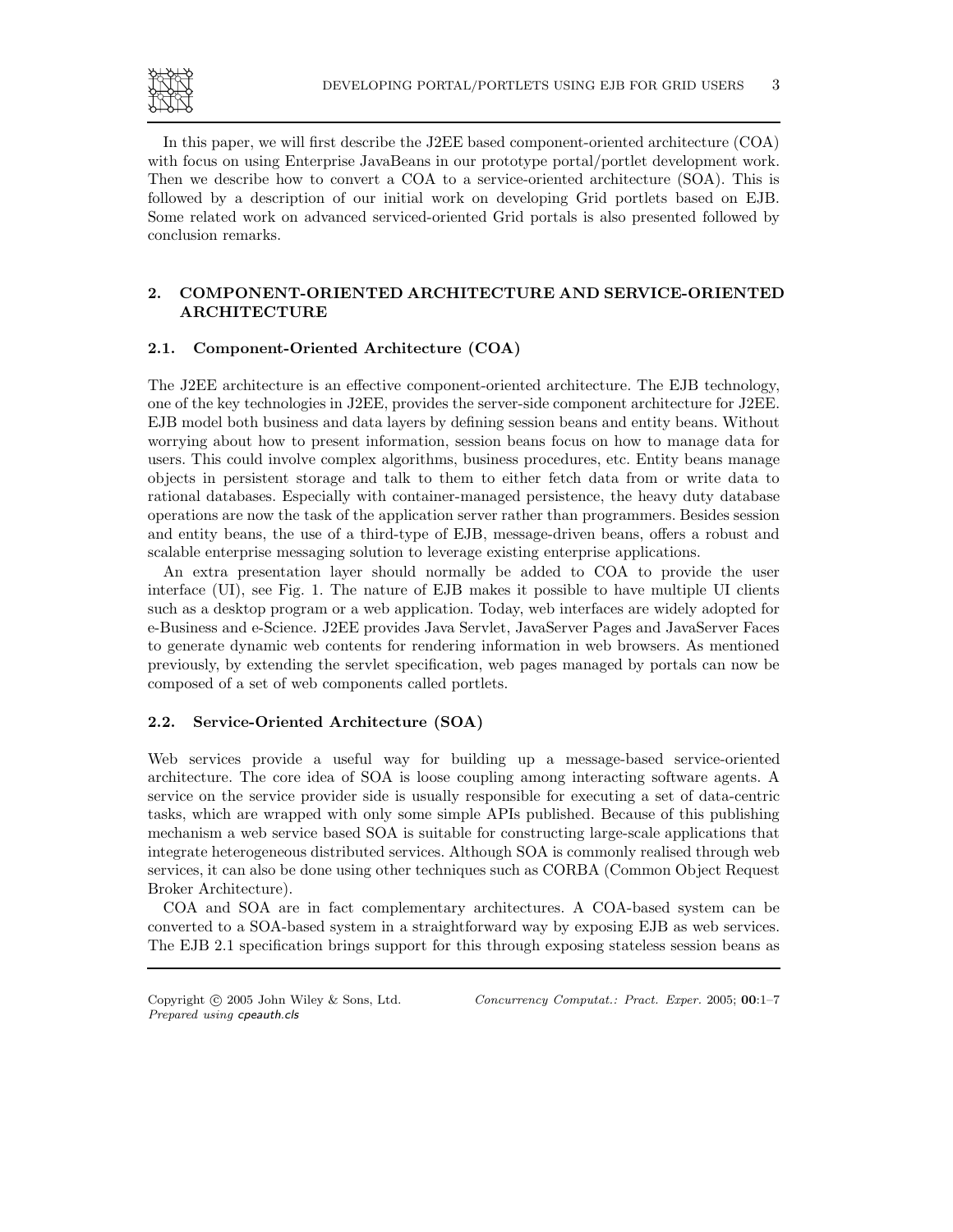

In this paper, we will first describe the J2EE based component-oriented architecture (COA) with focus on using Enterprise JavaBeans in our prototype portal/portlet development work. Then we describe how to convert a COA to a service-oriented architecture (SOA). This is followed by a description of our initial work on developing Grid portlets based on EJB. Some related work on advanced serviced-oriented Grid portals is also presented followed by conclusion remarks.

# 2. COMPONENT-ORIENTED ARCHITECTURE AND SERVICE-ORIENTED ARCHITECTURE

## 2.1. Component-Oriented Architecture (COA)

The J2EE architecture is an effective component-oriented architecture. The EJB technology, one of the key technologies in J2EE, provides the server-side component architecture for J2EE. EJB model both business and data layers by defining session beans and entity beans. Without worrying about how to present information, session beans focus on how to manage data for users. This could involve complex algorithms, business procedures, etc. Entity beans manage objects in persistent storage and talk to them to either fetch data from or write data to rational databases. Especially with container-managed persistence, the heavy duty database operations are now the task of the application server rather than programmers. Besides session and entity beans, the use of a third-type of EJB, message-driven beans, offers a robust and scalable enterprise messaging solution to leverage existing enterprise applications.

An extra presentation layer should normally be added to COA to provide the user interface (UI), see Fig. 1. The nature of EJB makes it possible to have multiple UI clients such as a desktop program or a web application. Today, web interfaces are widely adopted for e-Business and e-Science. J2EE provides Java Servlet, JavaServer Pages and JavaServer Faces to generate dynamic web contents for rendering information in web browsers. As mentioned previously, by extending the servlet specification, web pages managed by portals can now be composed of a set of web components called portlets.

## 2.2. Service-Oriented Architecture (SOA)

Web services provide a useful way for building up a message-based service-oriented architecture. The core idea of SOA is loose coupling among interacting software agents. A service on the service provider side is usually responsible for executing a set of data-centric tasks, which are wrapped with only some simple APIs published. Because of this publishing mechanism a web service based SOA is suitable for constructing large-scale applications that integrate heterogeneous distributed services. Although SOA is commonly realised through web services, it can also be done using other techniques such as CORBA (Common Object Request Broker Architecture).

COA and SOA are in fact complementary architectures. A COA-based system can be converted to a SOA-based system in a straightforward way by exposing EJB as web services. The EJB 2.1 specification brings support for this through exposing stateless session beans as

Prepared using cpeauth.cls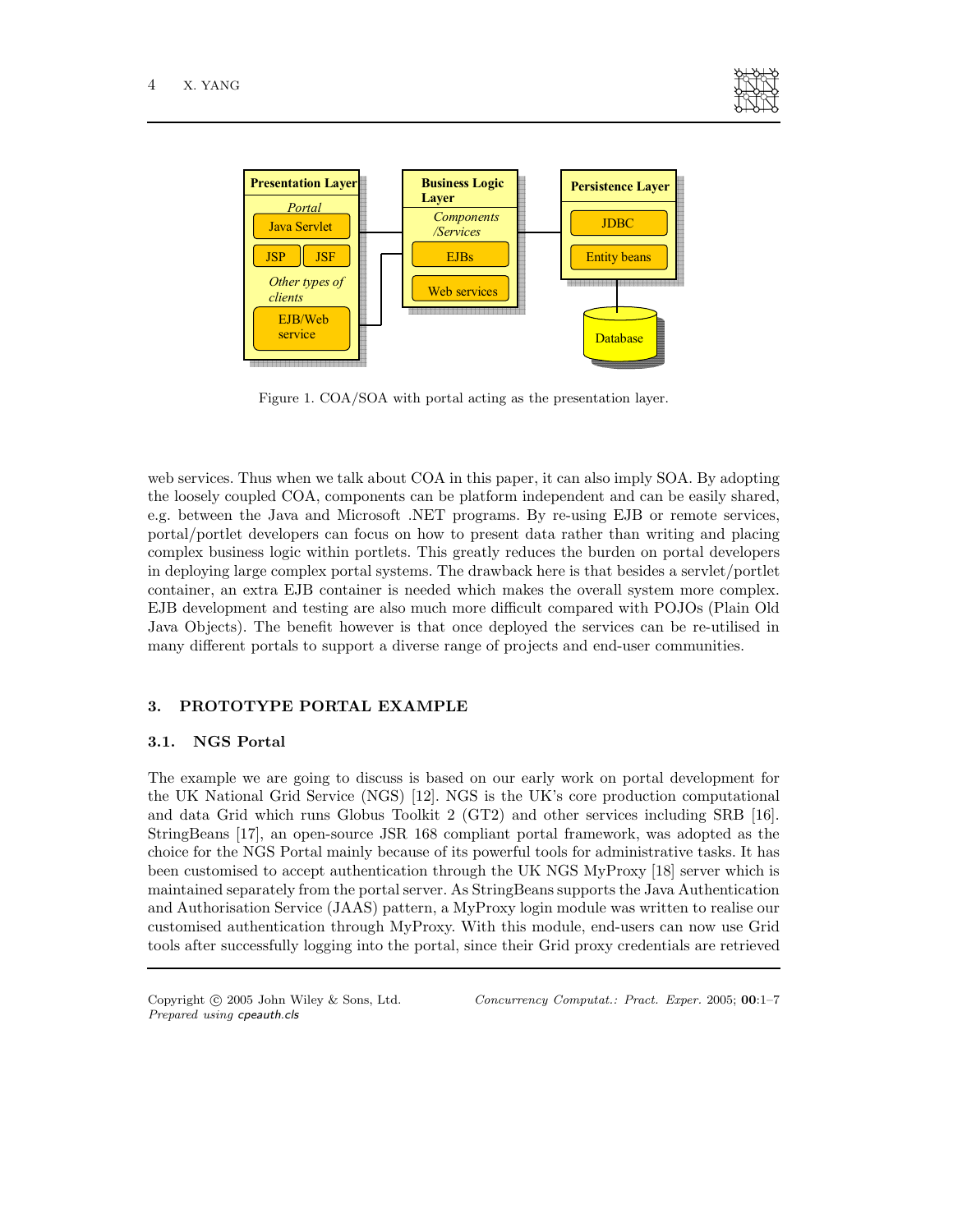



Figure 1. COA/SOA with portal acting as the presentation layer.

web services. Thus when we talk about COA in this paper, it can also imply SOA. By adopting the loosely coupled COA, components can be platform independent and can be easily shared, e.g. between the Java and Microsoft .NET programs. By re-using EJB or remote services, portal/portlet developers can focus on how to present data rather than writing and placing complex business logic within portlets. This greatly reduces the burden on portal developers in deploying large complex portal systems. The drawback here is that besides a servlet/portlet container, an extra EJB container is needed which makes the overall system more complex. EJB development and testing are also much more difficult compared with POJOs (Plain Old Java Objects). The benefit however is that once deployed the services can be re-utilised in many different portals to support a diverse range of projects and end-user communities.

#### 3. PROTOTYPE PORTAL EXAMPLE

## 3.1. NGS Portal

The example we are going to discuss is based on our early work on portal development for the UK National Grid Service (NGS) [12]. NGS is the UK's core production computational and data Grid which runs Globus Toolkit 2 (GT2) and other services including SRB [16]. StringBeans [17], an open-source JSR 168 compliant portal framework, was adopted as the choice for the NGS Portal mainly because of its powerful tools for administrative tasks. It has been customised to accept authentication through the UK NGS MyProxy [18] server which is maintained separately from the portal server. As StringBeans supports the Java Authentication and Authorisation Service (JAAS) pattern, a MyProxy login module was written to realise our customised authentication through MyProxy. With this module, end-users can now use Grid tools after successfully logging into the portal, since their Grid proxy credentials are retrieved

Prepared using cpeauth.cls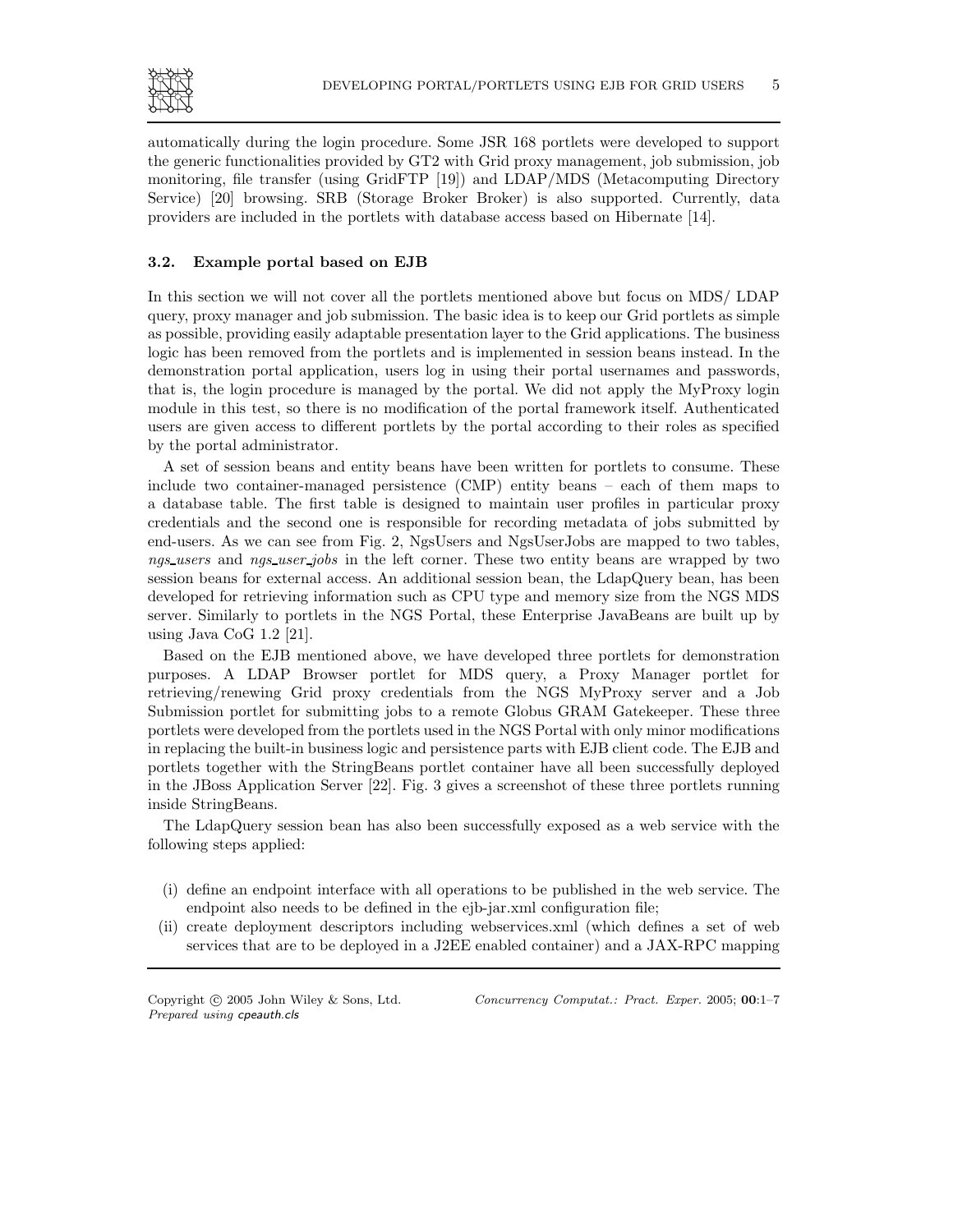

automatically during the login procedure. Some JSR 168 portlets were developed to support the generic functionalities provided by GT2 with Grid proxy management, job submission, job monitoring, file transfer (using GridFTP [19]) and LDAP/MDS (Metacomputing Directory Service) [20] browsing. SRB (Storage Broker Broker) is also supported. Currently, data providers are included in the portlets with database access based on Hibernate [14].

# 3.2. Example portal based on EJB

In this section we will not cover all the portlets mentioned above but focus on MDS/ LDAP query, proxy manager and job submission. The basic idea is to keep our Grid portlets as simple as possible, providing easily adaptable presentation layer to the Grid applications. The business logic has been removed from the portlets and is implemented in session beans instead. In the demonstration portal application, users log in using their portal usernames and passwords, that is, the login procedure is managed by the portal. We did not apply the MyProxy login module in this test, so there is no modification of the portal framework itself. Authenticated users are given access to different portlets by the portal according to their roles as specified by the portal administrator.

A set of session beans and entity beans have been written for portlets to consume. These include two container-managed persistence (CMP) entity beans – each of them maps to a database table. The first table is designed to maintain user profiles in particular proxy credentials and the second one is responsible for recording metadata of jobs submitted by end-users. As we can see from Fig. 2, NgsUsers and NgsUserJobs are mapped to two tables, ngs\_users and ngs\_user\_jobs in the left corner. These two entity beans are wrapped by two session beans for external access. An additional session bean, the LdapQuery bean, has been developed for retrieving information such as CPU type and memory size from the NGS MDS server. Similarly to portlets in the NGS Portal, these Enterprise JavaBeans are built up by using Java CoG 1.2 [21].

Based on the EJB mentioned above, we have developed three portlets for demonstration purposes. A LDAP Browser portlet for MDS query, a Proxy Manager portlet for retrieving/renewing Grid proxy credentials from the NGS MyProxy server and a Job Submission portlet for submitting jobs to a remote Globus GRAM Gatekeeper. These three portlets were developed from the portlets used in the NGS Portal with only minor modifications in replacing the built-in business logic and persistence parts with EJB client code. The EJB and portlets together with the StringBeans portlet container have all been successfully deployed in the JBoss Application Server [22]. Fig. 3 gives a screenshot of these three portlets running inside StringBeans.

The LdapQuery session bean has also been successfully exposed as a web service with the following steps applied:

- (i) define an endpoint interface with all operations to be published in the web service. The endpoint also needs to be defined in the ejb-jar.xml configuration file;
- (ii) create deployment descriptors including webservices.xml (which defines a set of web services that are to be deployed in a J2EE enabled container) and a JAX-RPC mapping

Prepared using cpeauth.cls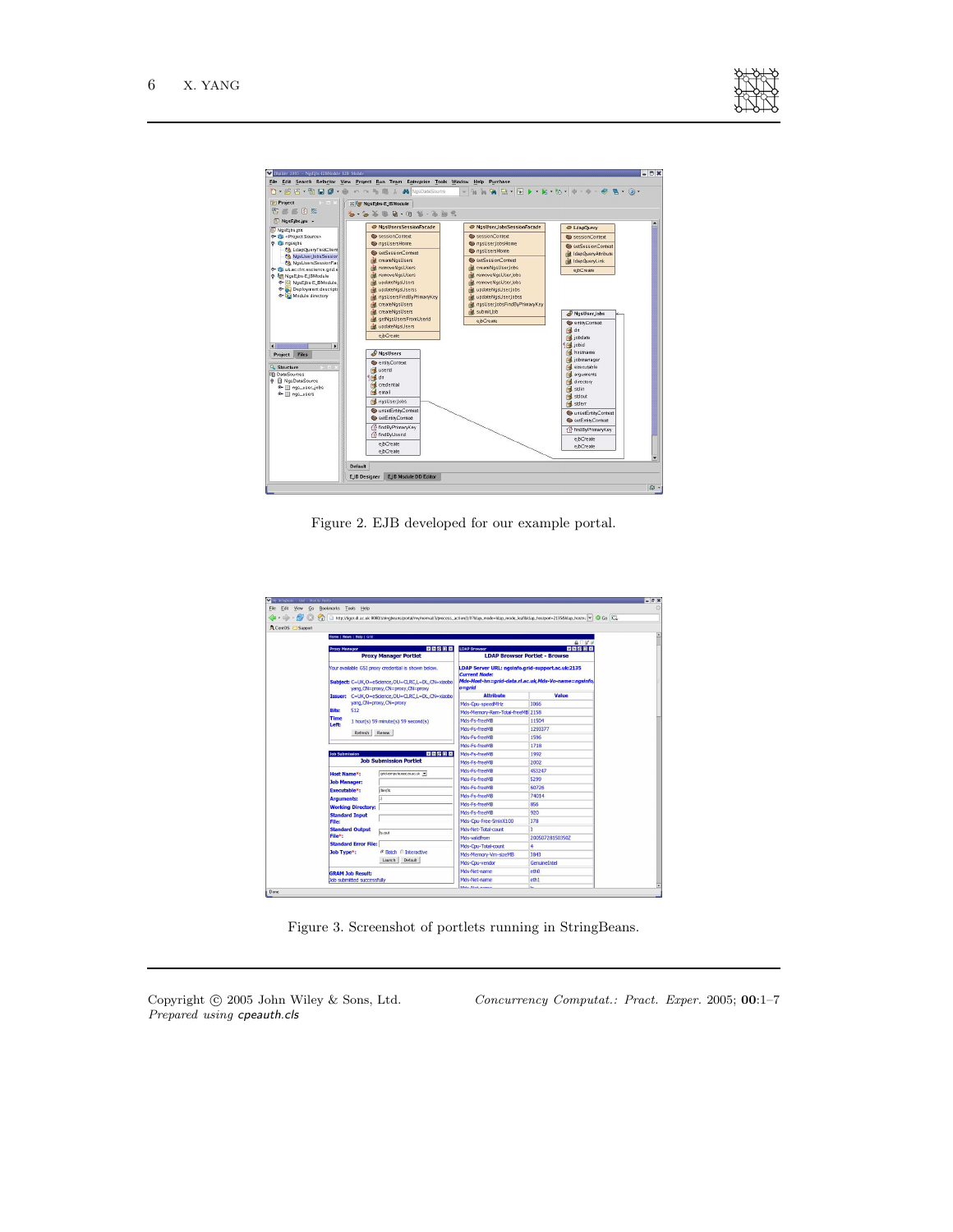

| <b>Project</b><br>$\vdash$ $\Box$ $\times$<br>印色区团彩                                                                                                                                                                                                                                                                                                                                                                                                                                                                                  | <b>X For NosEibs-EIBModule</b><br>$\mathbf{b} \cdot \mathbf{b} \mathbf{b} \cdot \mathbf{c} \mathbf{c} \mathbf{c} \cdot \mathbf{c} \mathbf{c} \mathbf{c} \mathbf{c} \mathbf{c} \mathbf{c} \mathbf{c} \mathbf{c} \mathbf{c} \mathbf{c} \mathbf{c} \mathbf{c} \mathbf{c} \mathbf{c} \mathbf{c} \mathbf{c} \mathbf{c} \mathbf{c} \mathbf{c} \mathbf{c} \mathbf{c} \mathbf{c} \mathbf{c} \mathbf{c} \mathbf{c} \mathbf{c} \mathbf{c} \mathbf{c} \mathbf{c} \mathbf{$                                                                |                                                                                                                                                                                                                                                                                                                     |                                                                                                                                                                                                                                                                                                                                                 |
|--------------------------------------------------------------------------------------------------------------------------------------------------------------------------------------------------------------------------------------------------------------------------------------------------------------------------------------------------------------------------------------------------------------------------------------------------------------------------------------------------------------------------------------|--------------------------------------------------------------------------------------------------------------------------------------------------------------------------------------------------------------------------------------------------------------------------------------------------------------------------------------------------------------------------------------------------------------------------------------------------------------------------------------------------------------------------------|---------------------------------------------------------------------------------------------------------------------------------------------------------------------------------------------------------------------------------------------------------------------------------------------------------------------|-------------------------------------------------------------------------------------------------------------------------------------------------------------------------------------------------------------------------------------------------------------------------------------------------------------------------------------------------|
| <b>NosEibs.ipx -</b><br><b>NasEibs.ipx</b><br><b>O- IL</b> <project source=""><br/><b>O</b> qui nosejbs<br/>&amp; LdapQueryTestClient<br/>MgsUserJobsSession<br/>NgsUsersSessionFac<br/><sup>0</sup> (a uk.ac.circ.escience.grid.e<br/><b>O</b> Re NosEjbs-EJBModule<br/>C NgsEjbs-EJBModule<br/>C- Deployment descripts<br/>Tal Module directory<br/><math>\blacksquare</math><br/>F.<br/>Project Files<br/><sup>Q</sup> Structure<br/><b>DataSources</b><br/><b>P El</b> NgsDataSource<br/>O gs_user_jobs<br/>e gs_users</project> | ResUsersSessionFacade<br>SessionContext<br>nasUsersHome<br>SetSessionContext<br>de createNosUsers<br><b>E</b> removeNgsUsers<br><b>EnforceMgsUsers</b><br>d updateNgsUsers<br>di updateNosUserss<br>in nosUsersFindByPrimaryKey<br>A createNgsUsers<br>in createNosUsers<br>di getNgsUsersFromUserid<br>dift. updateNgsUsers<br>eibCreate<br>NgsUsers<br>entityContext<br>sal usend<br><b>Ed</b> dn<br><b>Ed</b> credential<br><b>E</b> email<br>ngsUser Jobs<br>unsetEntityContext<br>SetEntityContext<br>Tr findByPrimaryKey | NgsUser_JobsSessionFacade<br>SessionContext<br>nasUser lobsHome<br>ongsUsersHome<br>setSessionContext<br><b>In createNgsUserJobs</b><br><b>Infl.</b> removeNgsUser.Jobs<br>in removeNgsUser Jobs<br>rid updateNosUser.Jobs<br>d updateNgsUserJobss<br>nd ngsUserJobsFindByPrimaryKey<br>rid submit Job<br>ejbCreate | C LdapOuery<br>Sa sessionContext<br>SetSessionContext<br>d IdapQueryAttribute<br>di IdapQueryLink<br>ejbCreate<br>NgsUser Jobs<br>entityContext<br>$4$ dn<br>jobdate<br>1 jobid<br>hostname<br>jobmanager<br>executable<br>arguments<br>directory<br>stdin<br>stdout<br>stderr<br>unsetEntityContext<br>SetEntityContext<br>Tr findByPrimaryKey |
|                                                                                                                                                                                                                                                                                                                                                                                                                                                                                                                                      | ft findByUserid<br>ejbCreate<br>ejbCreate                                                                                                                                                                                                                                                                                                                                                                                                                                                                                      |                                                                                                                                                                                                                                                                                                                     | ejbCreate<br>ejbCreate                                                                                                                                                                                                                                                                                                                          |

Figure 2. EJB developed for our example portal.

|                                   |                                                                                      |                                                                                                                                                  | http://tiger.dl.ac.uk:8090/stringbeans/portal/my/normal/3/process_action/1/07ldap_mode=Idap_mode_leaf&Idap_hostport=2135&Idap_hostps: < Co Co |                       |
|-----------------------------------|--------------------------------------------------------------------------------------|--------------------------------------------------------------------------------------------------------------------------------------------------|-----------------------------------------------------------------------------------------------------------------------------------------------|-----------------------|
| CentOS Support                    |                                                                                      |                                                                                                                                                  |                                                                                                                                               |                       |
|                                   | Home   News   Help   Grid                                                            |                                                                                                                                                  |                                                                                                                                               |                       |
| <b>Proxy Manager</b>              |                                                                                      | 医四周四区                                                                                                                                            | <b>LDAP Browser</b>                                                                                                                           | ADM 3<br><b>CDCCX</b> |
|                                   | <b>Proxy Manager Portlet</b>                                                         |                                                                                                                                                  | <b>LDAP Browser Portlet - Browse</b>                                                                                                          |                       |
|                                   |                                                                                      | Your available GSI proxy credential is shown below.<br>Subject: C=UK, O=eScience, OU=CLRC, L=DL, CN=xiaobo<br>vang, CN=proxy, CN=proxy, CN=proxy | LDAP Server URL: ngsinfo.grid-support.ac.uk:2135<br><b>Current Node:</b><br>Mds-Host-hn=grid-data.rl.ac.uk.Mds-Vo-name=ngsinfo.<br>$o =$ arid |                       |
|                                   |                                                                                      | Issuer: C=UK,O=eScience,OU=CLRC,L=DL,CN=xiaobo                                                                                                   | <b>Attribute</b>                                                                                                                              | Value                 |
|                                   | yang, CN=proxy, CN=proxy                                                             |                                                                                                                                                  | Mds-Cou-speedMHz                                                                                                                              | 3066                  |
| <b>Bits:</b>                      | 512<br><b>Time</b><br>1 hour(s) 59 minute(s) 59 second(s)                            |                                                                                                                                                  | Mds-Memory-Ram-Total-freeMB 2158                                                                                                              |                       |
| Left:                             |                                                                                      |                                                                                                                                                  | Mds-Es-freeMB                                                                                                                                 | 11504                 |
|                                   | Refresh                                                                              | Renew                                                                                                                                            | Mds-Fs-freeMB                                                                                                                                 | 1293377               |
|                                   |                                                                                      |                                                                                                                                                  | Mds-Es-freeMB                                                                                                                                 | 1596                  |
|                                   |                                                                                      |                                                                                                                                                  | Mds-Fs-freeMB                                                                                                                                 | 1718                  |
| 四四段回区<br><b>Job Submission</b>    |                                                                                      | Mds-Fs-freeMB                                                                                                                                    | 1992                                                                                                                                          |                       |
|                                   | <b>Job Submission Portlet</b>                                                        |                                                                                                                                                  | Mds-Es-freeMB                                                                                                                                 | 2002                  |
| <b>Host Name*:</b>                |                                                                                      | crid-compute.oesc.or.ac.uk v                                                                                                                     | Mds-Fs-freeMB                                                                                                                                 | 453247                |
|                                   | <b>Job Manager:</b>                                                                  |                                                                                                                                                  | Mds-Fs-freeMB                                                                                                                                 | 5299                  |
| Executable*:                      |                                                                                      | bin/ls                                                                                                                                           | Mds-Es-freeMB                                                                                                                                 | 60726                 |
|                                   | <b>Arguments:</b>                                                                    |                                                                                                                                                  | Mds-Fs-freeMB                                                                                                                                 | 74014                 |
|                                   | <b>Working Directory:</b>                                                            |                                                                                                                                                  | Mds-Es-freeMB                                                                                                                                 | 856                   |
|                                   | <b>Standard Input</b>                                                                |                                                                                                                                                  | Mds-Es-freeMB                                                                                                                                 | 920                   |
| <b>File:</b>                      |                                                                                      |                                                                                                                                                  | Mds-Cou-Free-5minX100                                                                                                                         | 378                   |
|                                   | <b>Standard Output</b><br>File*:<br><b>Standard Error File:</b><br><b>Job Type*:</b> | ls.out                                                                                                                                           | Mds-Net-Total-count                                                                                                                           | R                     |
|                                   |                                                                                      |                                                                                                                                                  | Mds-validfrom                                                                                                                                 | 200507281503507       |
|                                   |                                                                                      |                                                                                                                                                  | Mds-Cpu-Total-count                                                                                                                           | ā                     |
|                                   |                                                                                      | <b>6 Batch © Interactive</b><br>Launch Default                                                                                                   | Mds-Memory-Vm-sizeMB                                                                                                                          | 3843                  |
|                                   |                                                                                      |                                                                                                                                                  | Mds-Cou-vendor                                                                                                                                | <b>Genuine Intel</b>  |
|                                   | <b>GRAM Job Result:</b>                                                              |                                                                                                                                                  | Mds-Net-name                                                                                                                                  | eth <sub>0</sub>      |
| <b>Job submitted successfully</b> |                                                                                      | Mds-Net-name                                                                                                                                     | eth <sub>1</sub>                                                                                                                              |                       |

Figure 3. Screenshot of portlets running in StringBeans.

Prepared using cpeauth.cls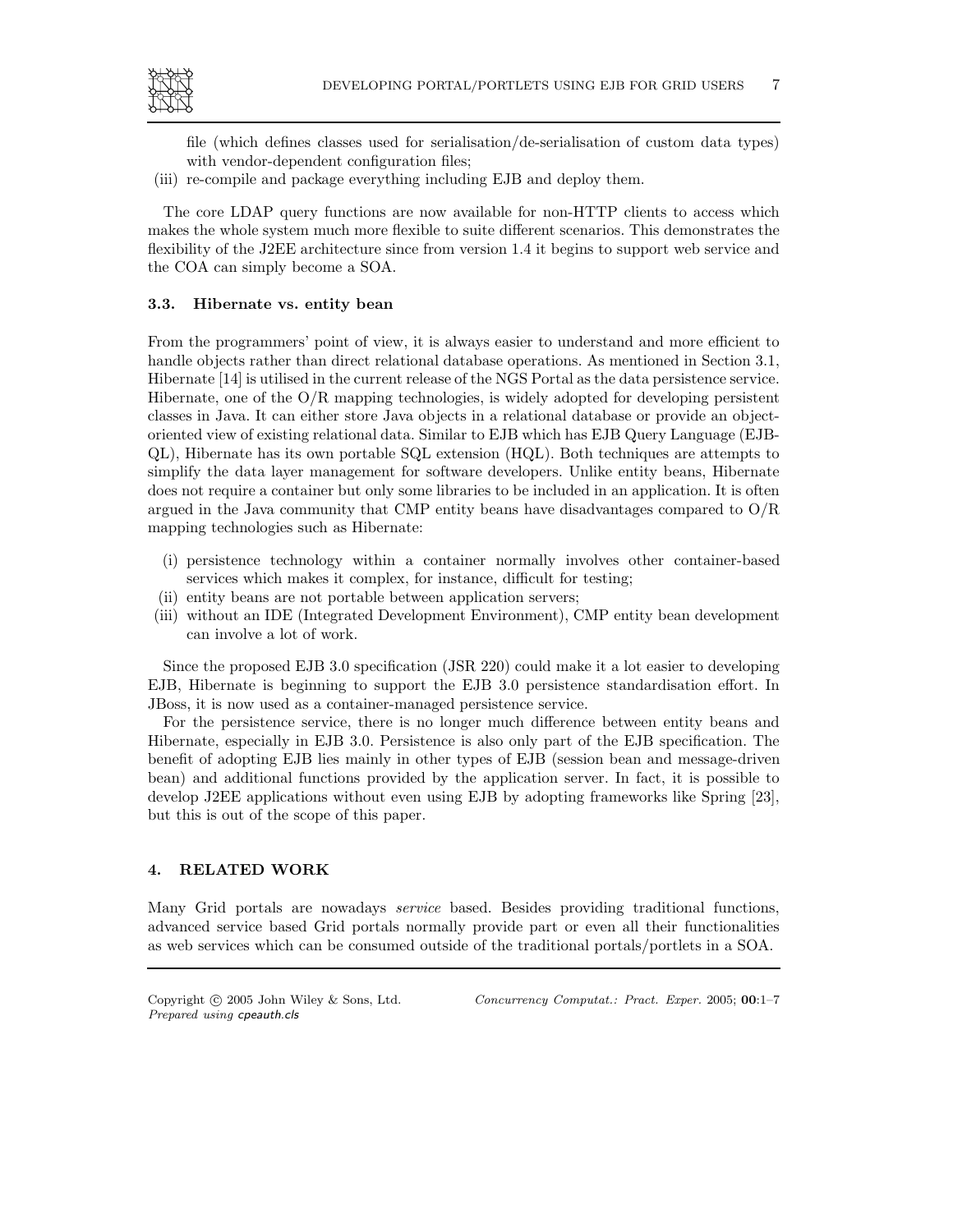

file (which defines classes used for serialisation/de-serialisation of custom data types) with vendor-dependent configuration files;

(iii) re-compile and package everything including EJB and deploy them.

The core LDAP query functions are now available for non-HTTP clients to access which makes the whole system much more flexible to suite different scenarios. This demonstrates the flexibility of the J2EE architecture since from version 1.4 it begins to support web service and the COA can simply become a SOA.

#### 3.3. Hibernate vs. entity bean

From the programmers' point of view, it is always easier to understand and more efficient to handle objects rather than direct relational database operations. As mentioned in Section 3.1, Hibernate [14] is utilised in the current release of the NGS Portal as the data persistence service. Hibernate, one of the  $O/R$  mapping technologies, is widely adopted for developing persistent classes in Java. It can either store Java objects in a relational database or provide an objectoriented view of existing relational data. Similar to EJB which has EJB Query Language (EJB-QL), Hibernate has its own portable SQL extension (HQL). Both techniques are attempts to simplify the data layer management for software developers. Unlike entity beans, Hibernate does not require a container but only some libraries to be included in an application. It is often argued in the Java community that CMP entity beans have disadvantages compared to  $O/R$ mapping technologies such as Hibernate:

- (i) persistence technology within a container normally involves other container-based services which makes it complex, for instance, difficult for testing;
- (ii) entity beans are not portable between application servers;
- (iii) without an IDE (Integrated Development Environment), CMP entity bean development can involve a lot of work.

Since the proposed EJB 3.0 specification (JSR 220) could make it a lot easier to developing EJB, Hibernate is beginning to support the EJB 3.0 persistence standardisation effort. In JBoss, it is now used as a container-managed persistence service.

For the persistence service, there is no longer much difference between entity beans and Hibernate, especially in EJB 3.0. Persistence is also only part of the EJB specification. The benefit of adopting EJB lies mainly in other types of EJB (session bean and message-driven bean) and additional functions provided by the application server. In fact, it is possible to develop J2EE applications without even using EJB by adopting frameworks like Spring [23], but this is out of the scope of this paper.

# 4. RELATED WORK

Many Grid portals are nowadays service based. Besides providing traditional functions, advanced service based Grid portals normally provide part or even all their functionalities as web services which can be consumed outside of the traditional portals/portlets in a SOA.

Prepared using cpeauth.cls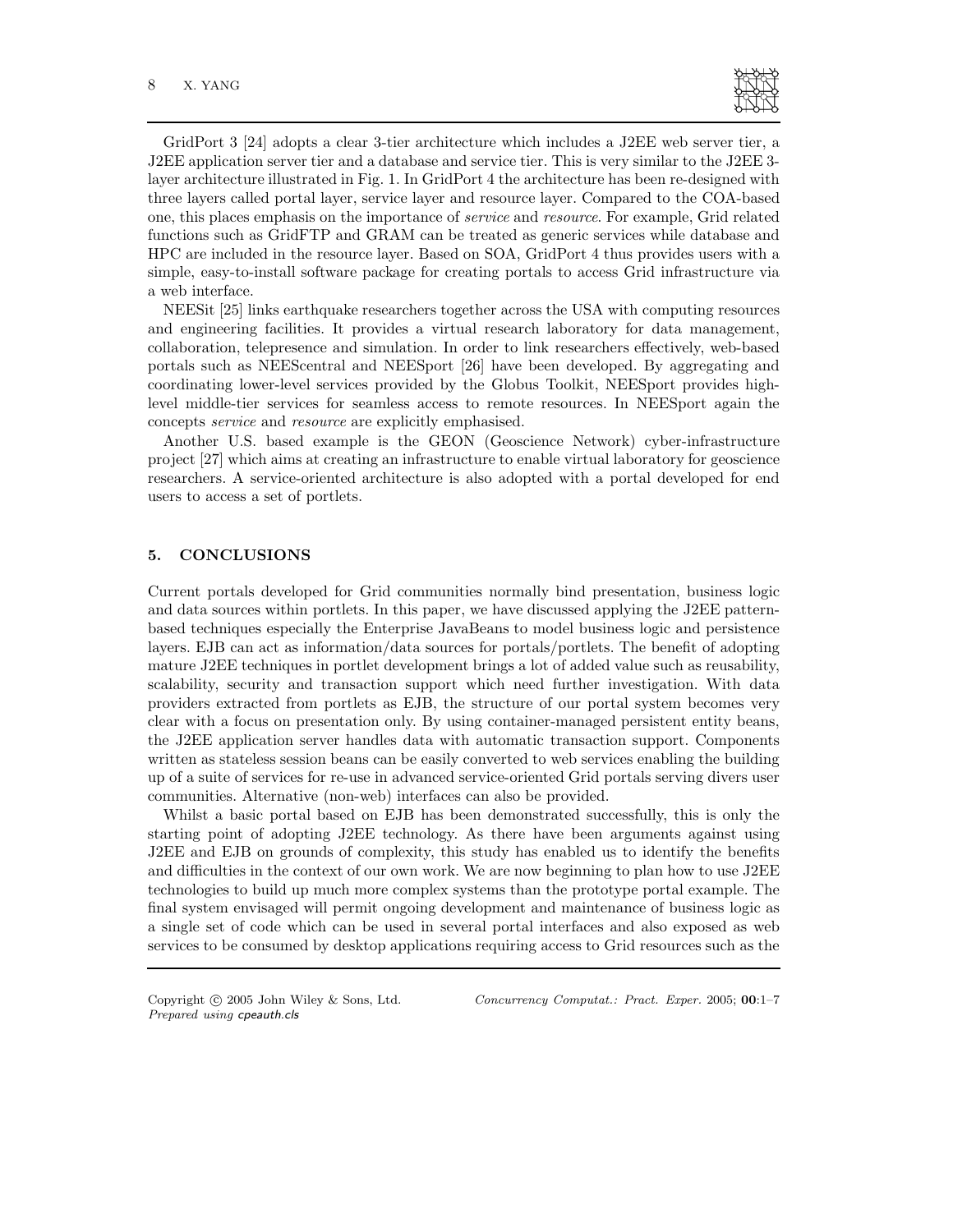

GridPort 3 [24] adopts a clear 3-tier architecture which includes a J2EE web server tier, a J2EE application server tier and a database and service tier. This is very similar to the J2EE 3 layer architecture illustrated in Fig. 1. In GridPort 4 the architecture has been re-designed with three layers called portal layer, service layer and resource layer. Compared to the COA-based one, this places emphasis on the importance of service and resource. For example, Grid related functions such as GridFTP and GRAM can be treated as generic services while database and HPC are included in the resource layer. Based on SOA, GridPort 4 thus provides users with a simple, easy-to-install software package for creating portals to access Grid infrastructure via a web interface.

NEESit [25] links earthquake researchers together across the USA with computing resources and engineering facilities. It provides a virtual research laboratory for data management, collaboration, telepresence and simulation. In order to link researchers effectively, web-based portals such as NEEScentral and NEESport [26] have been developed. By aggregating and coordinating lower-level services provided by the Globus Toolkit, NEESport provides highlevel middle-tier services for seamless access to remote resources. In NEESport again the concepts service and resource are explicitly emphasised.

Another U.S. based example is the GEON (Geoscience Network) cyber-infrastructure project [27] which aims at creating an infrastructure to enable virtual laboratory for geoscience researchers. A service-oriented architecture is also adopted with a portal developed for end users to access a set of portlets.

# 5. CONCLUSIONS

Current portals developed for Grid communities normally bind presentation, business logic and data sources within portlets. In this paper, we have discussed applying the J2EE patternbased techniques especially the Enterprise JavaBeans to model business logic and persistence layers. EJB can act as information/data sources for portals/portlets. The benefit of adopting mature J2EE techniques in portlet development brings a lot of added value such as reusability, scalability, security and transaction support which need further investigation. With data providers extracted from portlets as EJB, the structure of our portal system becomes very clear with a focus on presentation only. By using container-managed persistent entity beans, the J2EE application server handles data with automatic transaction support. Components written as stateless session beans can be easily converted to web services enabling the building up of a suite of services for re-use in advanced service-oriented Grid portals serving divers user communities. Alternative (non-web) interfaces can also be provided.

Whilst a basic portal based on EJB has been demonstrated successfully, this is only the starting point of adopting J2EE technology. As there have been arguments against using J2EE and EJB on grounds of complexity, this study has enabled us to identify the benefits and difficulties in the context of our own work. We are now beginning to plan how to use J2EE technologies to build up much more complex systems than the prototype portal example. The final system envisaged will permit ongoing development and maintenance of business logic as a single set of code which can be used in several portal interfaces and also exposed as web services to be consumed by desktop applications requiring access to Grid resources such as the

Prepared using cpeauth.cls

Copyright © 2005 John Wiley & Sons, Ltd. Concurrency Computat.: Pract. Exper. 2005; 00:1-7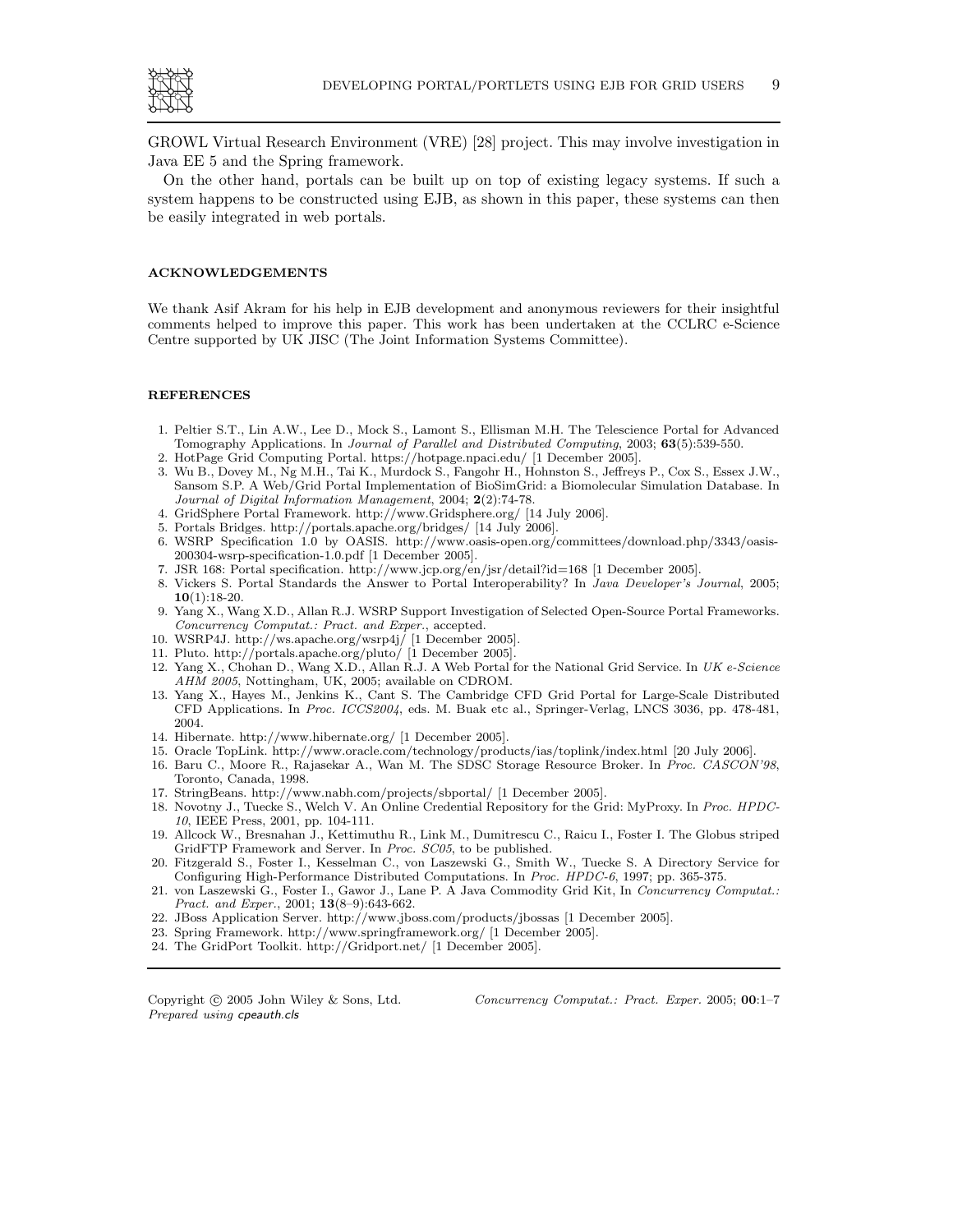

GROWL Virtual Research Environment (VRE) [28] project. This may involve investigation in Java EE 5 and the Spring framework.

On the other hand, portals can be built up on top of existing legacy systems. If such a system happens to be constructed using EJB, as shown in this paper, these systems can then be easily integrated in web portals.

#### ACKNOWLEDGEMENTS

We thank Asif Akram for his help in EJB development and anonymous reviewers for their insightful comments helped to improve this paper. This work has been undertaken at the CCLRC e-Science Centre supported by UK JISC (The Joint Information Systems Committee).

#### REFERENCES

- 1. Peltier S.T., Lin A.W., Lee D., Mock S., Lamont S., Ellisman M.H. The Telescience Portal for Advanced Tomography Applications. In Journal of Parallel and Distributed Computing, 2003; 63(5):539-550.
- 2. HotPage Grid Computing Portal. https://hotpage.npaci.edu/ [1 December 2005].
- 3. Wu B., Dovey M., Ng M.H., Tai K., Murdock S., Fangohr H., Hohnston S., Jeffreys P., Cox S., Essex J.W., Sansom S.P. A Web/Grid Portal Implementation of BioSimGrid: a Biomolecular Simulation Database. In Journal of Digital Information Management, 2004; 2(2):74-78.
- 4. GridSphere Portal Framework. http://www.Gridsphere.org/ [14 July 2006].
- 5. Portals Bridges. http://portals.apache.org/bridges/ [14 July 2006].
- 6. WSRP Specification 1.0 by OASIS. http://www.oasis-open.org/committees/download.php/3343/oasis-200304-wsrp-specification-1.0.pdf [1 December 2005].
- 7. JSR 168: Portal specification. http://www.jcp.org/en/jsr/detail?id=168 [1 December 2005].
- 8. Vickers S. Portal Standards the Answer to Portal Interoperability? In Java Developer's Journal, 2005;  $10(1):18-20.$
- 9. Yang X., Wang X.D., Allan R.J. WSRP Support Investigation of Selected Open-Source Portal Frameworks. Concurrency Computat.: Pract. and Exper., accepted.
- 10. WSRP4J. http://ws.apache.org/wsrp4j/ [1 December 2005].
- 11. Pluto. http://portals.apache.org/pluto/ [1 December 2005].
- 12. Yang X., Chohan D., Wang X.D., Allan R.J. A Web Portal for the National Grid Service. In UK e-Science AHM 2005, Nottingham, UK, 2005; available on CDROM.
- 13. Yang X., Hayes M., Jenkins K., Cant S. The Cambridge CFD Grid Portal for Large-Scale Distributed CFD Applications. In Proc. ICCS2004, eds. M. Buak etc al., Springer-Verlag, LNCS 3036, pp. 478-481, 2004.
- 14. Hibernate. http://www.hibernate.org/ [1 December 2005].
- 15. Oracle TopLink. http://www.oracle.com/technology/products/ias/toplink/index.html [20 July 2006].
- 16. Baru C., Moore R., Rajasekar A., Wan M. The SDSC Storage Resource Broker. In Proc. CASCON'98, Toronto, Canada, 1998.
- 17. StringBeans. http://www.nabh.com/projects/sbportal/ [1 December 2005].
- 18. Novotny J., Tuecke S., Welch V. An Online Credential Repository for the Grid: MyProxy. In Proc. HPDC-10, IEEE Press, 2001, pp. 104-111.
- 19. Allcock W., Bresnahan J., Kettimuthu R., Link M., Dumitrescu C., Raicu I., Foster I. The Globus striped GridFTP Framework and Server. In Proc. SC05, to be published.
- 20. Fitzgerald S., Foster I., Kesselman C., von Laszewski G., Smith W., Tuecke S. A Directory Service for Configuring High-Performance Distributed Computations. In Proc. HPDC-6, 1997; pp. 365-375.
- 21. von Laszewski G., Foster I., Gawor J., Lane P. A Java Commodity Grid Kit, In Concurrency Computat.: Pract. and Exper., 2001; 13(8–9):643-662.
- 22. JBoss Application Server. http://www.jboss.com/products/jbossas [1 December 2005].
- 23. Spring Framework. http://www.springframework.org/ [1 December 2005].
- 24. The GridPort Toolkit. http://Gridport.net/ [1 December 2005].

Prepared using cpeauth.cls